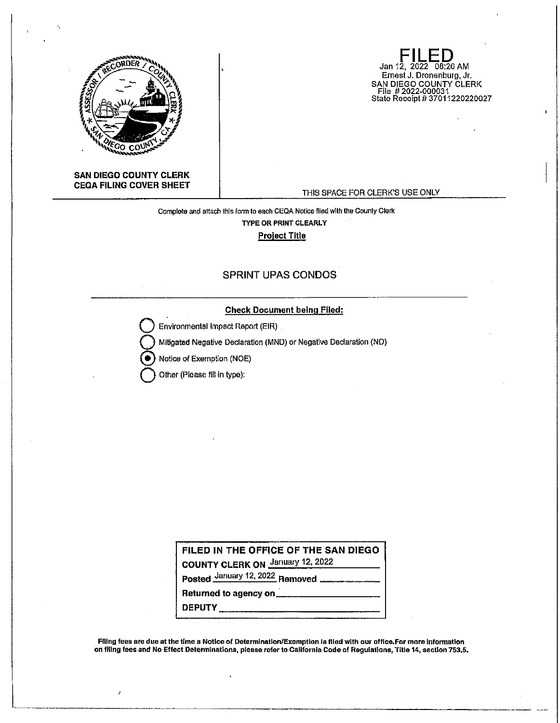

**FILED**  Jan 12, 2022 08:26 AM Ernest J. Dronenburg, Jr. SAN DIEGO COUNTY CLERK File # 2022-000031 State Receipt# 37011220220027

#### **SAN DIEGO COUNTY CLERK CEQA FILING COVER SHEET**

#### THIS SPACE FOR CLERK'S USE ONLY

## Complete and attach lhls form to eaoh CEQA Notice filed with the County Clerk **TYPE OR PRINT CLEARLY Project Title**

# SPRINT UPAS CONDOS

### **Check Document being Flied:**

**Environmental Impact Report (EIR)** 

**Q** Mitigated Negative Declaration (MND) or Negative Declaration (ND)

@ Notice of Exemption (NOE)

**Q** Other (Please fill in type):

**FILED IN THE OFFICE OF THE SAN DIEGO COUNTY CLERK ON** January 12, 2022

**Posted** January 12, 2022 **Removed** 

**Returned to agency on \_\_\_\_\_\_\_\_\_\_\_\_\_\_\_\_\_\_\_\_\_\_\_ DEPUTY \_\_\_\_\_\_\_\_\_\_\_\_ \_** 

Filing fees are due at the time a Notice of Determination/Exemption Is filed wlth our office.For more Information on flllng fees and No Effect Determinations, please refer to California Code of Regulatlons, Title 14, sectton 753.5.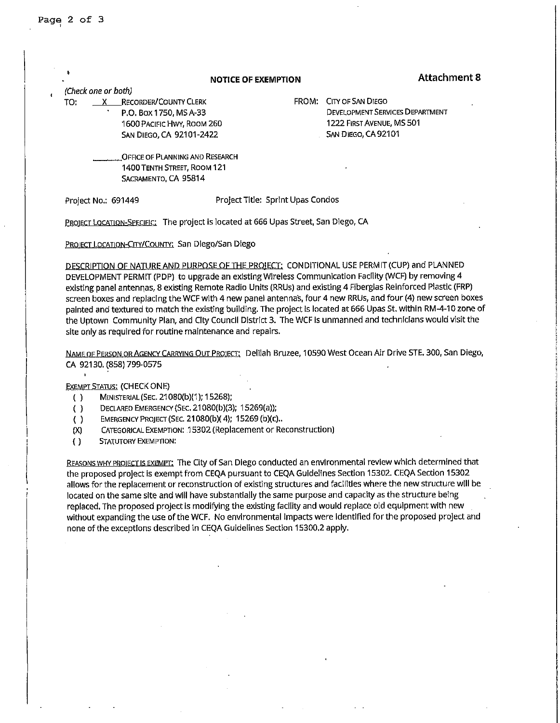|     |                     |                                 | <b>NOTICE OF EXEMPTION</b> |                                   | <b>Attachment 8</b>                    |
|-----|---------------------|---------------------------------|----------------------------|-----------------------------------|----------------------------------------|
|     | (Check one or both) |                                 |                            |                                   |                                        |
| TO: |                     | <b>RECORDER/COUNTY CLERK</b>    |                            | FROM:                             | CITY OF SAN DIEGO                      |
|     |                     | P.O. Box 1750, MS A-33          |                            |                                   | <b>DEVELOPMENT SERVICES DEPARTMENT</b> |
|     |                     | 1600 PACIFIC HWY, ROOM 260      |                            |                                   | 1222 FIRST AVENUE, MS 501              |
|     |                     | <b>5AN DIEGO, CA 92101-2422</b> |                            |                                   | SAN DIEGO, CA 92101                    |
|     |                     | OFFICE OF PLANNING AND RESEARCH |                            |                                   |                                        |
|     |                     | 1400 TENTH STREET, ROOM 121     |                            |                                   |                                        |
|     |                     | SACRAMENTO, CA 95814            |                            |                                   |                                        |
|     | Project No.: 691449 |                                 |                            | Project Title: Sprint Upas Condos |                                        |

PROJECT LOCATION-SPECIFIC: The project is located at 666 Upas Street, San Diego, CA

PROJECT LOCATION-CITY/COUNTY: San Diego/San Diego

DESCRIPTION OF NATURE AND PURPOSE OF THE PRO!ECT: CONDITIONAL USE PERMIT(CUP) and PLANNED DEVELOPMENT PERMIT (PDP) to upgrade an existing Wireless Communication Facility (WCF) by removing 4 existing panel antennas, 8 existing Remote Radio Units (RRUs) and existing 4 Fiberglas Reinforced Plastic (FRP) screen boxes and replacing the WCF with 4 new panel antennas, four 4 new RRUs, and four (4) new screen boxes painted and textured to match the existing building. The project Is located at 666 Upas St. within RM-4-10 zone of the Uptown Community Plan, and City Council District 3. The WCF Is unmanned and technicians would visit the site only as required for routine maintenance and repairs.

NAME OF PERSON OR AGENCY CARRYING OUT PROJECT: Delilah Bruzee, 10590 West Ocean Air Drive STE. 300, San Diego, CA 92130. (858) 799-0575

EXEMPT STATUS: (CHECK ONE)

- ( ) MINISTERIAL (SEC. 21080(b)(1 ); 15268);
- ( ) DECLARED EMERGENCY (SEC. 21080(b)(3); 15269(a));
- ( ) EMERGENCY PROJECT (SEC. 21080(b)( 4); 15269 (b)(C) ..
- (X) CATEGORICAL EXEMPTION: .15302 (Replacement or Reconstruction)
- ( ) STATUTORY EXEMPTION:

REASONS WHY PROJECT IS EXEMPT: The City of San Diego conducted an environmental review which determined that the proposed project is exempt from CEQA pursuant to CEQA Guidelines Section 15302. CEQA Section 15302 allows for the replacement or reconstruction of existing structures and facilities where the new structure will be located on the same site and will have substantially the same purpose and capacity as the structure being replaced. The proposed project Is modifying the existing facility and would replace old equipment with new without expanding the use of the WCF. No environmental impacts were Identified for the proposed project and none of the exceptions described in CEQA Guidelines Section 15300,2 apply.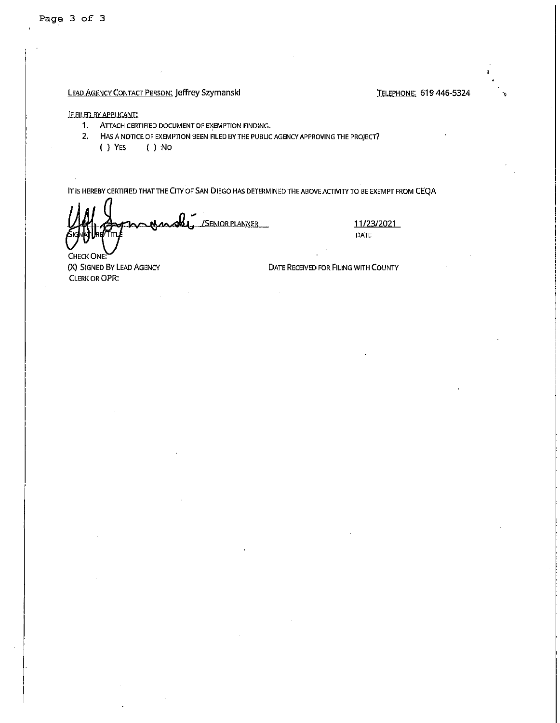Page 3 of 3

## LEAD AGENCY CONTACT PERSON: Jeffrey Szymanski Chamber 1984 Control Control Control TELEPHONE: 619 446-5324

·,

#### **IE FILED BY APPLICANT:**

- 1. ATTACH CERTIFIED DOCUMENT OF EXEMPTION FINDING,
- 2, HAS A NOTICE OF EXEMPTION BEEN FILED BY THE PUBLIC AGENCY APPROVING THE PROJECT?<br>() YES () NO
	- $( )$  No

IT IS HEREBY CERTIFIED THATTHE CITY OF SAN DIEGO HAS DETERMINED THE ABOVE ACTIVITY TO BE EXEMPT FROM CEQA

<u>/Senior planner</u>

11/23/2021 DATE

CHECK ONE: {X) SIGNED BY LEAD AGENCY CLERK OR OPR:

DATE RECEIVED FOR FILING WITH COUNTY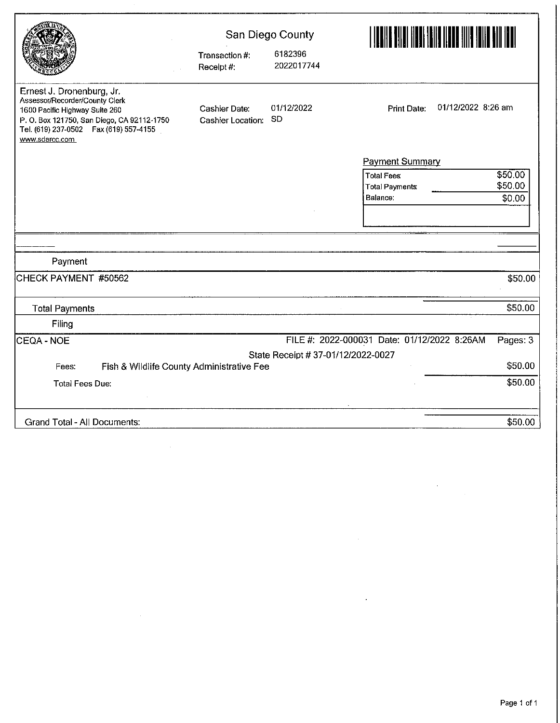|                                                                                                                                                                                                          |                                    | San Diego County                   |                                                         |  |
|----------------------------------------------------------------------------------------------------------------------------------------------------------------------------------------------------------|------------------------------------|------------------------------------|---------------------------------------------------------|--|
|                                                                                                                                                                                                          | Transaction #:<br>Receipt#:        | 6182396<br>2022017744              |                                                         |  |
| Ernest J. Dronenburg, Jr.<br>Assessor/Recorder/County Clerk<br>1600 Pacific Highway Suite 260<br>P. O. Box 121750, San Diego, CA 92112-1750<br>Tel. (619) 237-0502  Fax (619) 557-4155<br>www.sdarcc.com | Cashier Date:<br>Cashier Location: | 01/12/2022<br>-SD                  | 01/12/2022 8:26 am<br><b>Print Date:</b>                |  |
|                                                                                                                                                                                                          |                                    |                                    | <b>Payment Summary</b>                                  |  |
|                                                                                                                                                                                                          |                                    |                                    | \$50.00<br><b>Total Fees:</b>                           |  |
|                                                                                                                                                                                                          |                                    |                                    | \$50.00<br><b>Total Payments</b>                        |  |
|                                                                                                                                                                                                          |                                    |                                    | Balance:<br>\$0.00                                      |  |
|                                                                                                                                                                                                          |                                    |                                    |                                                         |  |
|                                                                                                                                                                                                          |                                    |                                    |                                                         |  |
|                                                                                                                                                                                                          |                                    |                                    |                                                         |  |
| Payment                                                                                                                                                                                                  |                                    |                                    |                                                         |  |
| CHECK PAYMENT #50562                                                                                                                                                                                     |                                    |                                    | \$50.00                                                 |  |
| <b>Total Payments</b>                                                                                                                                                                                    |                                    |                                    | \$50.00                                                 |  |
| Filing                                                                                                                                                                                                   |                                    |                                    |                                                         |  |
| ICEQA - NOE                                                                                                                                                                                              |                                    |                                    | FILE #: 2022-000031 Date: 01/12/2022 8:26AM<br>Pages: 3 |  |
|                                                                                                                                                                                                          |                                    | State Receipt # 37-01/12/2022-0027 |                                                         |  |
| Fish & Wildlife County Administrative Fee<br>Fees:                                                                                                                                                       |                                    |                                    | \$50.00                                                 |  |
| <b>Total Fees Due:</b>                                                                                                                                                                                   |                                    |                                    | \$50.00                                                 |  |
| Grand Total - All Documents:                                                                                                                                                                             |                                    |                                    | \$50.00                                                 |  |

 $\mathcal{L}^{\text{max}}_{\text{max}}$  ,  $\mathcal{L}^{\text{max}}_{\text{max}}$ 

 $\frac{1}{2} \frac{1}{2} \frac{1}{2} \frac{1}{2} \frac{1}{2}$ 

 $\hat{\mathcal{A}}$